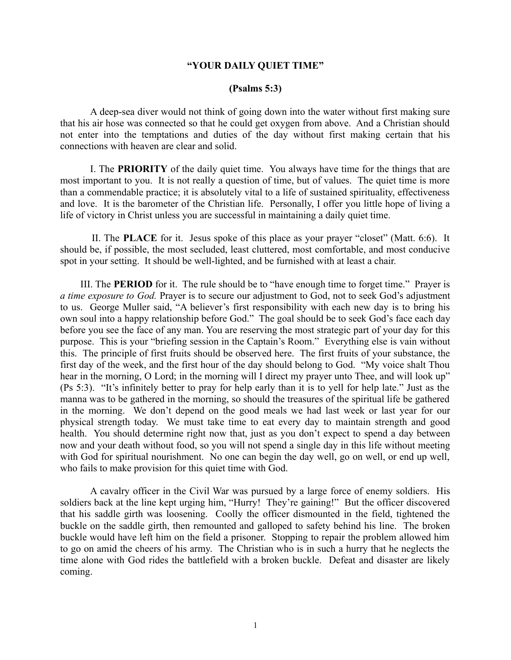## **"YOUR DAILY QUIET TIME"**

## **(Psalms 5:3)**

A deep-sea diver would not think of going down into the water without first making sure that his air hose was connected so that he could get oxygen from above. And a Christian should not enter into the temptations and duties of the day without first making certain that his connections with heaven are clear and solid.

I. The **PRIORITY** of the daily quiet time. You always have time for the things that are most important to you. It is not really a question of time, but of values. The quiet time is more than a commendable practice; it is absolutely vital to a life of sustained spirituality, effectiveness and love. It is the barometer of the Christian life. Personally, I offer you little hope of living a life of victory in Christ unless you are successful in maintaining a daily quiet time.

 II. The **PLACE** for it. Jesus spoke of this place as your prayer "closet" (Matt. 6:6). It should be, if possible, the most secluded, least cluttered, most comfortable, and most conducive spot in your setting. It should be well-lighted, and be furnished with at least a chair.

 III. The **PERIOD** for it. The rule should be to "have enough time to forget time." Prayer is *a time exposure to God.* Prayer is to secure our adjustment to God, not to seek God's adjustment to us. George Muller said, "A believer's first responsibility with each new day is to bring his own soul into a happy relationship before God." The goal should be to seek God's face each day before you see the face of any man. You are reserving the most strategic part of your day for this purpose. This is your "briefing session in the Captain's Room." Everything else is vain without this. The principle of first fruits should be observed here. The first fruits of your substance, the first day of the week, and the first hour of the day should belong to God. "My voice shalt Thou hear in the morning, O Lord; in the morning will I direct my prayer unto Thee, and will look up" (Ps 5:3). "It's infinitely better to pray for help early than it is to yell for help late." Just as the manna was to be gathered in the morning, so should the treasures of the spiritual life be gathered in the morning. We don't depend on the good meals we had last week or last year for our physical strength today. We must take time to eat every day to maintain strength and good health. You should determine right now that, just as you don't expect to spend a day between now and your death without food, so you will not spend a single day in this life without meeting with God for spiritual nourishment. No one can begin the day well, go on well, or end up well, who fails to make provision for this quiet time with God.

A cavalry officer in the Civil War was pursued by a large force of enemy soldiers. His soldiers back at the line kept urging him, "Hurry! They're gaining!" But the officer discovered that his saddle girth was loosening. Coolly the officer dismounted in the field, tightened the buckle on the saddle girth, then remounted and galloped to safety behind his line. The broken buckle would have left him on the field a prisoner. Stopping to repair the problem allowed him to go on amid the cheers of his army. The Christian who is in such a hurry that he neglects the time alone with God rides the battlefield with a broken buckle. Defeat and disaster are likely coming.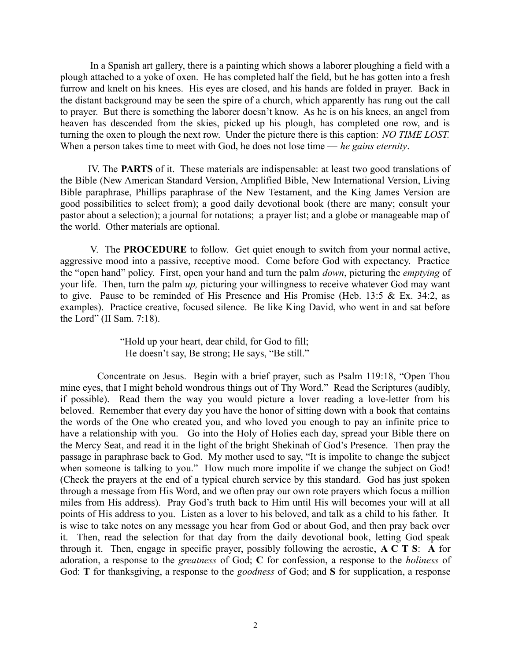In a Spanish art gallery, there is a painting which shows a laborer ploughing a field with a plough attached to a yoke of oxen. He has completed half the field, but he has gotten into a fresh furrow and knelt on his knees. His eyes are closed, and his hands are folded in prayer. Back in the distant background may be seen the spire of a church, which apparently has rung out the call to prayer. But there is something the laborer doesn't know. As he is on his knees, an angel from heaven has descended from the skies, picked up his plough, has completed one row, and is turning the oxen to plough the next row. Under the picture there is this caption: *NO TIME LOST.* When a person takes time to meet with God, he does not lose time — *he gains eternity*.

 IV. The **PARTS** of it. These materials are indispensable: at least two good translations of the Bible (New American Standard Version, Amplified Bible, New International Version, Living Bible paraphrase, Phillips paraphrase of the New Testament, and the King James Version are good possibilities to select from); a good daily devotional book (there are many; consult your pastor about a selection); a journal for notations; a prayer list; and a globe or manageable map of the world. Other materials are optional.

V. The **PROCEDURE** to follow. Get quiet enough to switch from your normal active, aggressive mood into a passive, receptive mood. Come before God with expectancy. Practice the "open hand" policy. First, open your hand and turn the palm *down*, picturing the *emptying* of your life. Then, turn the palm *up,* picturing your willingness to receive whatever God may want to give. Pause to be reminded of His Presence and His Promise (Heb. 13:5 & Ex. 34:2, as examples). Practice creative, focused silence. Be like King David, who went in and sat before the Lord" (II Sam. 7:18).

> "Hold up your heart, dear child, for God to fill; He doesn't say, Be strong; He says, "Be still."

 Concentrate on Jesus. Begin with a brief prayer, such as Psalm 119:18, "Open Thou mine eyes, that I might behold wondrous things out of Thy Word." Read the Scriptures (audibly, if possible). Read them the way you would picture a lover reading a love-letter from his beloved. Remember that every day you have the honor of sitting down with a book that contains the words of the One who created you, and who loved you enough to pay an infinite price to have a relationship with you. Go into the Holy of Holies each day, spread your Bible there on the Mercy Seat, and read it in the light of the bright Shekinah of God's Presence. Then pray the passage in paraphrase back to God. My mother used to say, "It is impolite to change the subject when someone is talking to you." How much more impolite if we change the subject on God! (Check the prayers at the end of a typical church service by this standard. God has just spoken through a message from His Word, and we often pray our own rote prayers which focus a million miles from His address). Pray God's truth back to Him until His will becomes your will at all points of His address to you. Listen as a lover to his beloved, and talk as a child to his father. It is wise to take notes on any message you hear from God or about God, and then pray back over it. Then, read the selection for that day from the daily devotional book, letting God speak through it. Then, engage in specific prayer, possibly following the acrostic, **A C T S**: **A** for adoration, a response to the *greatness* of God; **C** for confession, a response to the *holiness* of God: **T** for thanksgiving, a response to the *goodness* of God; and **S** for supplication, a response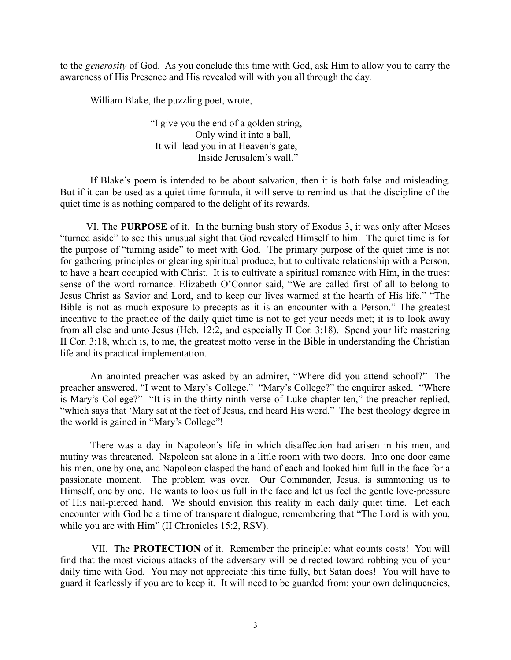to the *generosity* of God. As you conclude this time with God, ask Him to allow you to carry the awareness of His Presence and His revealed will with you all through the day.

William Blake, the puzzling poet, wrote,

"I give you the end of a golden string, Only wind it into a ball, It will lead you in at Heaven's gate, Inside Jerusalem's wall."

If Blake's poem is intended to be about salvation, then it is both false and misleading. But if it can be used as a quiet time formula, it will serve to remind us that the discipline of the quiet time is as nothing compared to the delight of its rewards.

 VI. The **PURPOSE** of it. In the burning bush story of Exodus 3, it was only after Moses "turned aside" to see this unusual sight that God revealed Himself to him. The quiet time is for the purpose of "turning aside" to meet with God. The primary purpose of the quiet time is not for gathering principles or gleaning spiritual produce, but to cultivate relationship with a Person, to have a heart occupied with Christ. It is to cultivate a spiritual romance with Him, in the truest sense of the word romance. Elizabeth O'Connor said, "We are called first of all to belong to Jesus Christ as Savior and Lord, and to keep our lives warmed at the hearth of His life." "The Bible is not as much exposure to precepts as it is an encounter with a Person." The greatest incentive to the practice of the daily quiet time is not to get your needs met; it is to look away from all else and unto Jesus (Heb. 12:2, and especially II Cor. 3:18). Spend your life mastering II Cor. 3:18, which is, to me, the greatest motto verse in the Bible in understanding the Christian life and its practical implementation.

An anointed preacher was asked by an admirer, "Where did you attend school?" The preacher answered, "I went to Mary's College." "Mary's College?" the enquirer asked. "Where is Mary's College?" "It is in the thirty-ninth verse of Luke chapter ten," the preacher replied, "which says that 'Mary sat at the feet of Jesus, and heard His word." The best theology degree in the world is gained in "Mary's College"!

There was a day in Napoleon's life in which disaffection had arisen in his men, and mutiny was threatened. Napoleon sat alone in a little room with two doors. Into one door came his men, one by one, and Napoleon clasped the hand of each and looked him full in the face for a passionate moment. The problem was over. Our Commander, Jesus, is summoning us to Himself, one by one. He wants to look us full in the face and let us feel the gentle love-pressure of His nail-pierced hand. We should envision this reality in each daily quiet time. Let each encounter with God be a time of transparent dialogue, remembering that "The Lord is with you, while you are with Him" (II Chronicles 15:2, RSV).

 VII. The **PROTECTION** of it. Remember the principle: what counts costs! You will find that the most vicious attacks of the adversary will be directed toward robbing you of your daily time with God. You may not appreciate this time fully, but Satan does! You will have to guard it fearlessly if you are to keep it. It will need to be guarded from: your own delinquencies,